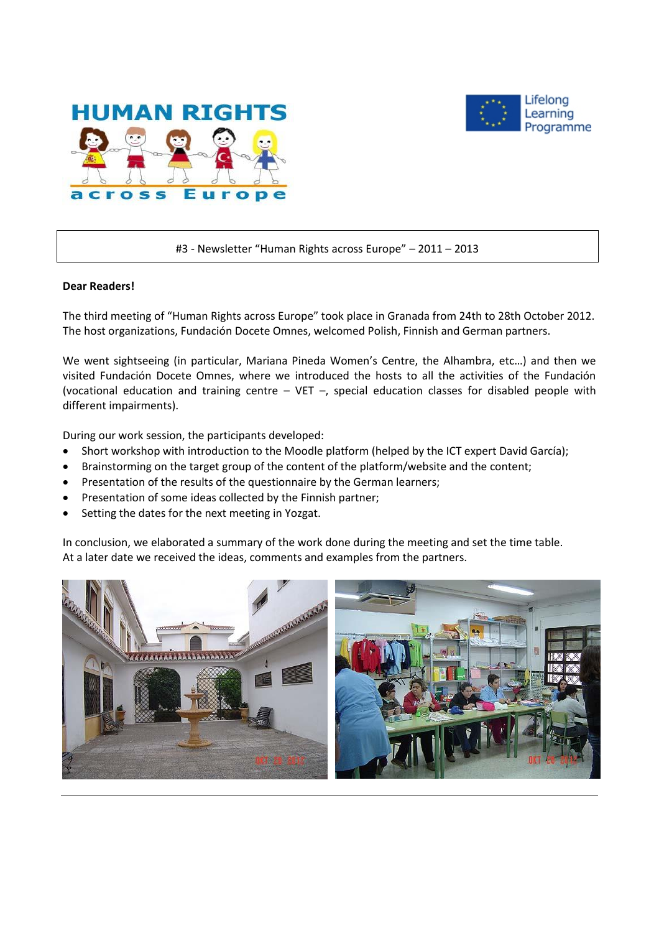



#3 - Newsletter "Human Rights across Europe" – 2011 – 2013

### **Dear Readers!**

The third meeting of "Human Rights across Europe" took place in Granada from 24th to 28th October 2012. The host organizations, Fundación Docete Omnes, welcomed Polish, Finnish and German partners.

We went sightseeing (in particular, Mariana Pineda Women's Centre, the Alhambra, etc…) and then we visited Fundación Docete Omnes, where we introduced the hosts to all the activities of the Fundación (vocational education and training centre – VET –, special education classes for disabled people with different impairments).

During our work session, the participants developed:

- Short workshop with introduction to the Moodle platform (helped by the ICT expert David García);
- Brainstorming on the target group of the content of the platform/website and the content;
- Presentation of the results of the questionnaire by the German learners;
- Presentation of some ideas collected by the Finnish partner;
- Setting the dates for the next meeting in Yozgat.

In conclusion, we elaborated a summary of the work done during the meeting and set the time table. At a later date we received the ideas, comments and examples from the partners.

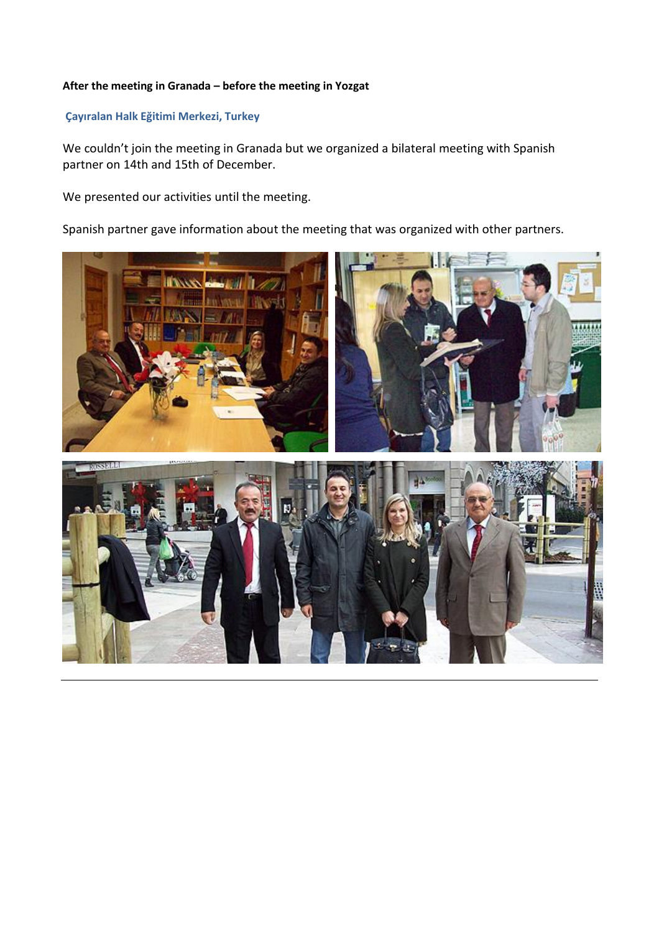## **After the meeting in Granada – before the meeting in Yozgat**

# **Çayıralan Halk Eğitimi Merkezi, Turkey**

We couldn't join the meeting in Granada but we organized a bilateral meeting with Spanish partner on 14th and 15th of December.

We presented our activities until the meeting.

Spanish partner gave information about the meeting that was organized with other partners.

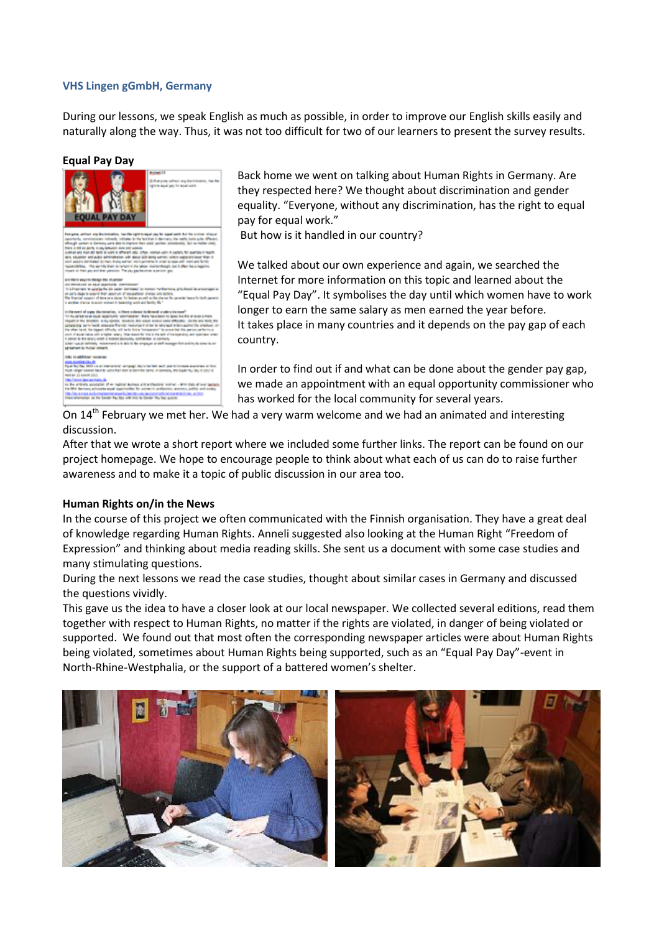#### **VHS Lingen gGmbH, Germany**

During our lessons, we speak English as much as possible, in order to improve our English skills easily and naturally along the way. Thus, it was not too difficult for two of our learners to present the survey results.

#### **Equal Pay Day**



Back home we went on talking about Human Rights in Germany. Are they respected here? We thought about discrimination and gender equality. "Everyone, without any discrimination, has the right to equal pay for equal work."

But how is it handled in our country?

We talked about our own experience and again, we searched the Internet for more information on this topic and learned about the "Equal Pay Day". It symbolises the day until which women have to work longer to earn the same salary as men earned the year before. It takes place in many countries and it depends on the pay gap of each country.

In order to find out if and what can be done about the gender pay gap, we made an appointment with an equal opportunity commissioner who has worked for the local community for several years.

On  $14<sup>th</sup>$  February we met her. We had a very warm welcome and we had an animated and interesting discussion.

After that we wrote a short report where we included some further links. The report can be found on our project homepage. We hope to encourage people to think about what each of us can do to raise further awareness and to make it a topic of public discussion in our area too.

#### **Human Rights on/in the News**

In the course of this project we often communicated with the Finnish organisation. They have a great deal of knowledge regarding Human Rights. Anneli suggested also looking at the Human Right "Freedom of Expression" and thinking about media reading skills. She sent us a document with some case studies and many stimulating questions.

During the next lessons we read the case studies, thought about similar cases in Germany and discussed the questions vividly.

This gave us the idea to have a closer look at our local newspaper. We collected several editions, read them together with respect to Human Rights, no matter if the rights are violated, in danger of being violated or supported. We found out that most often the corresponding newspaper articles were about Human Rights being violated, sometimes about Human Rights being supported, such as an "Equal Pay Day"-event in North-Rhine-Westphalia, or the support of a battered women's shelter.

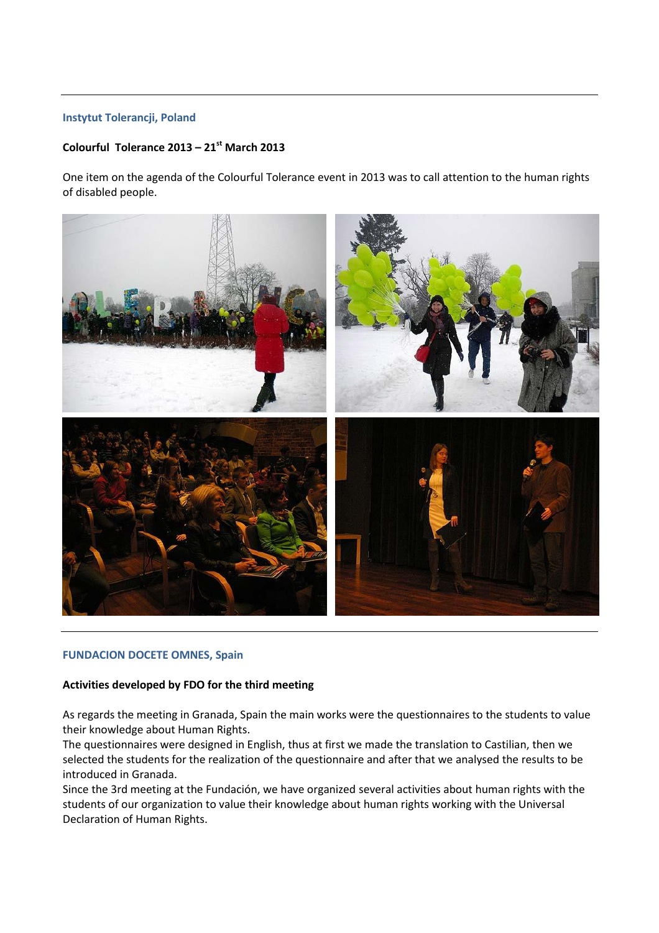### **Instytut Tolerancji, Poland**

# **Colourful Tolerance 2013 – 21 st March 2013**

One item on the agenda of the Colourful Tolerance event in 2013 was to call attention to the human rights of disabled people.



#### **FUNDACION DOCETE OMNES, Spain**

#### **Activities developed by FDO for the third meeting**

As regards the meeting in Granada, Spain the main works were the questionnaires to the students to value their knowledge about Human Rights.

The questionnaires were designed in English, thus at first we made the translation to Castilian, then we selected the students for the realization of the questionnaire and after that we analysed the results to be introduced in Granada.

Since the 3rd meeting at the Fundación, we have organized several activities about human rights with the students of our organization to value their knowledge about human rights working with the Universal Declaration of Human Rights.